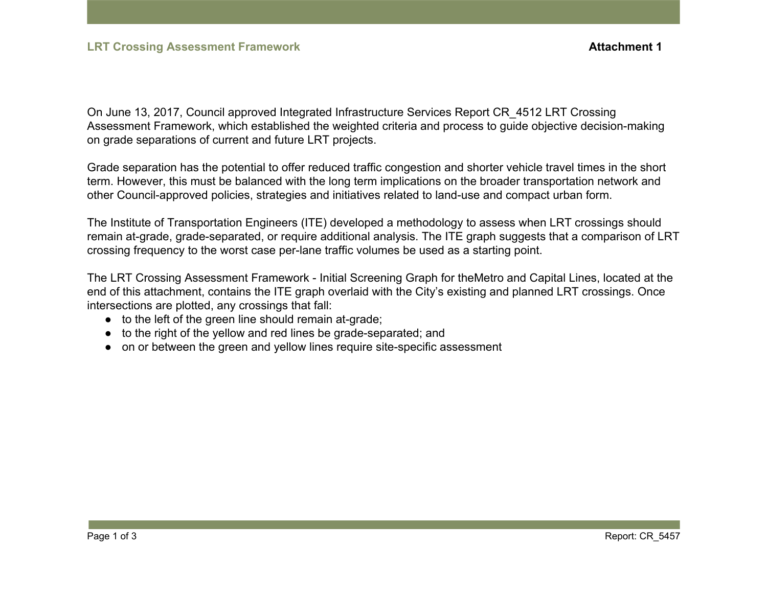On June 13, 2017, Council approved Integrated Infrastructure Services Report CR\_4512 LRT Crossing Assessment Framework, which established the weighted criteria and process to guide objective decision-making on grade separations of current and future LRT projects.

Grade separation has the potential to offer reduced traffic congestion and shorter vehicle travel times in the short term. However, this must be balanced with the long term implications on the broader transportation network and other Council-approved policies, strategies and initiatives related to land-use and compact urban form.

The Institute of Transportation Engineers (ITE) developed a methodology to assess when LRT crossings should remain at-grade, grade-separated, or require additional analysis. The ITE graph suggests that a comparison of LRT crossing frequency to the worst case per-lane traffic volumes be used as a starting point.

The LRT Crossing Assessment Framework - Initial Screening Graph for theMetro and Capital Lines, located at the end of this attachment, contains the ITE graph overlaid with the City's existing and planned LRT crossings. Once intersections are plotted, any crossings that fall:

- to the left of the green line should remain at-grade;
- to the right of the yellow and red lines be grade-separated; and
- on or between the green and yellow lines require site-specific assessment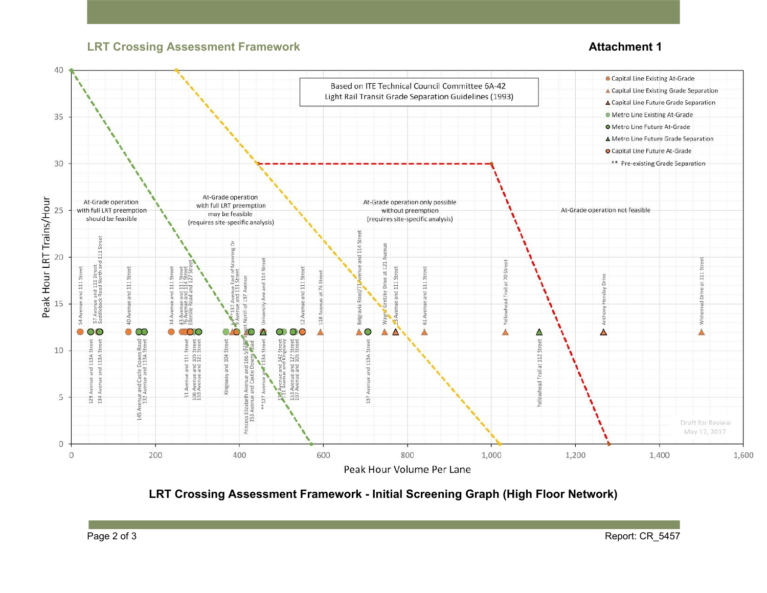## **LRT Crossing Assessment Framework CRT Crossing Assessment Framework** *Attachment 1*



**LRT Crossing Assessment Framework - Initial Screening Graph (High Floor Network)**